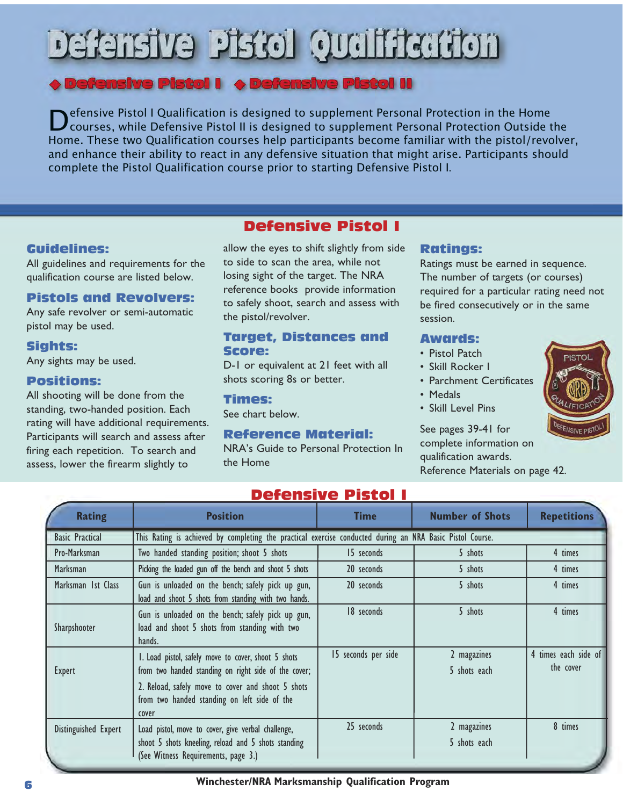# **Texture Piscol Qualification**

## $\blacktriangleright$  Defensive Pistol I  $\;\blacktriangleright\;$  Defensive Pistol II

Defensive Pistol I Qualification is designed to supplement Personal Protection in the Home<br>Courses, while Defensive Pistol II is designed to supplement Personal Protection Outside the<br>Home These two Qualification courses h Home. These two Qualification courses help participants become familiar with the pistol/revolver, and enhance their ability to react in any defensive situation that might arise. Participants should complete the Pistol Qualification course prior to starting Defensive Pistol I.

## Guidelines:

All guidelines and requirements for the qualification course are listed below.

## Pistols and Revolvers:

Any safe revolver or semi-automatic pistol may be used.

## Sights:

Any sights may be used.

## Positions:

All shooting will be done from the standing, two-handed position. Each rating will have additional requirements. Participants will search and assess after firing each repetition. To search and assess, lower the firearm slightly to

## Defensive Pistol I

allow the eyes to shift slightly from side to side to scan the area, while not losing sight of the target. The NRA reference books provide information to safely shoot, search and assess with the pistol/revolver.

#### Target, Distances and Score:

D-1 or equivalent at 21 feet with all shots scoring 8s or better.

#### Times:

See chart below.

## Reference Material:

NRA's Guide to Personal Protection In the Home

#### Ratings:

Ratings must be earned in sequence. The number of targets (or courses) required for a particular rating need not be fired consecutively or in the same session.

#### Awards:

- Pistol Patch
- Skill Rocker I
- Parchment Certificates
- Medals
- Skill Level Pins

## See pages 39-41 for

complete information on qualification awards. Reference Materials on page 42.

| <u>Defensive Pistoi I</u> |                                                                                                                                                                                                                           |                     |                             |                                   |  |  |
|---------------------------|---------------------------------------------------------------------------------------------------------------------------------------------------------------------------------------------------------------------------|---------------------|-----------------------------|-----------------------------------|--|--|
| <b>Rating</b>             | <b>Position</b>                                                                                                                                                                                                           | <b>Time</b>         | <b>Number of Shots</b>      | <b>Repetitions</b>                |  |  |
| <b>Basic Practical</b>    | This Rating is achieved by completing the practical exercise conducted during an NRA Basic Pistol Course.                                                                                                                 |                     |                             |                                   |  |  |
| Pro-Marksman              | Two handed standing position; shoot 5 shots                                                                                                                                                                               | 15 seconds          | 5 shots                     | 4 times                           |  |  |
| <b>Marksman</b>           | Picking the loaded gun off the bench and shoot 5 shots                                                                                                                                                                    | 20 seconds          | 5 shots                     | 4 times                           |  |  |
| Marksman 1st Class        | Gun is unloaded on the bench; safely pick up gun,<br>load and shoot 5 shots from standing with two hands.                                                                                                                 | 20 seconds          | 5 shots                     | 4 times                           |  |  |
| Sharpshooter              | Gun is unloaded on the bench; safely pick up gun,<br>load and shoot 5 shots from standing with two<br>hands.                                                                                                              | 18 seconds          | 5 shots                     | 4 times                           |  |  |
| <b>Expert</b>             | I. Load pistol, safely move to cover, shoot 5 shots<br>from two handed standing on right side of the cover;<br>2. Reload, safely move to cover and shoot 5 shots<br>from two handed standing on left side of the<br>cover | 15 seconds per side | 2 magazines<br>5 shots each | 4 times each side of<br>the cover |  |  |
| Distinguished Expert      | Load pistol, move to cover, give verbal challenge,<br>shoot 5 shots kneeling, reload and 5 shots standing<br>(See Witness Requirements, page 3.)                                                                          | 25 seconds          | 2 magazines<br>5 shots each | 8 times                           |  |  |

## Defensive Pistol I